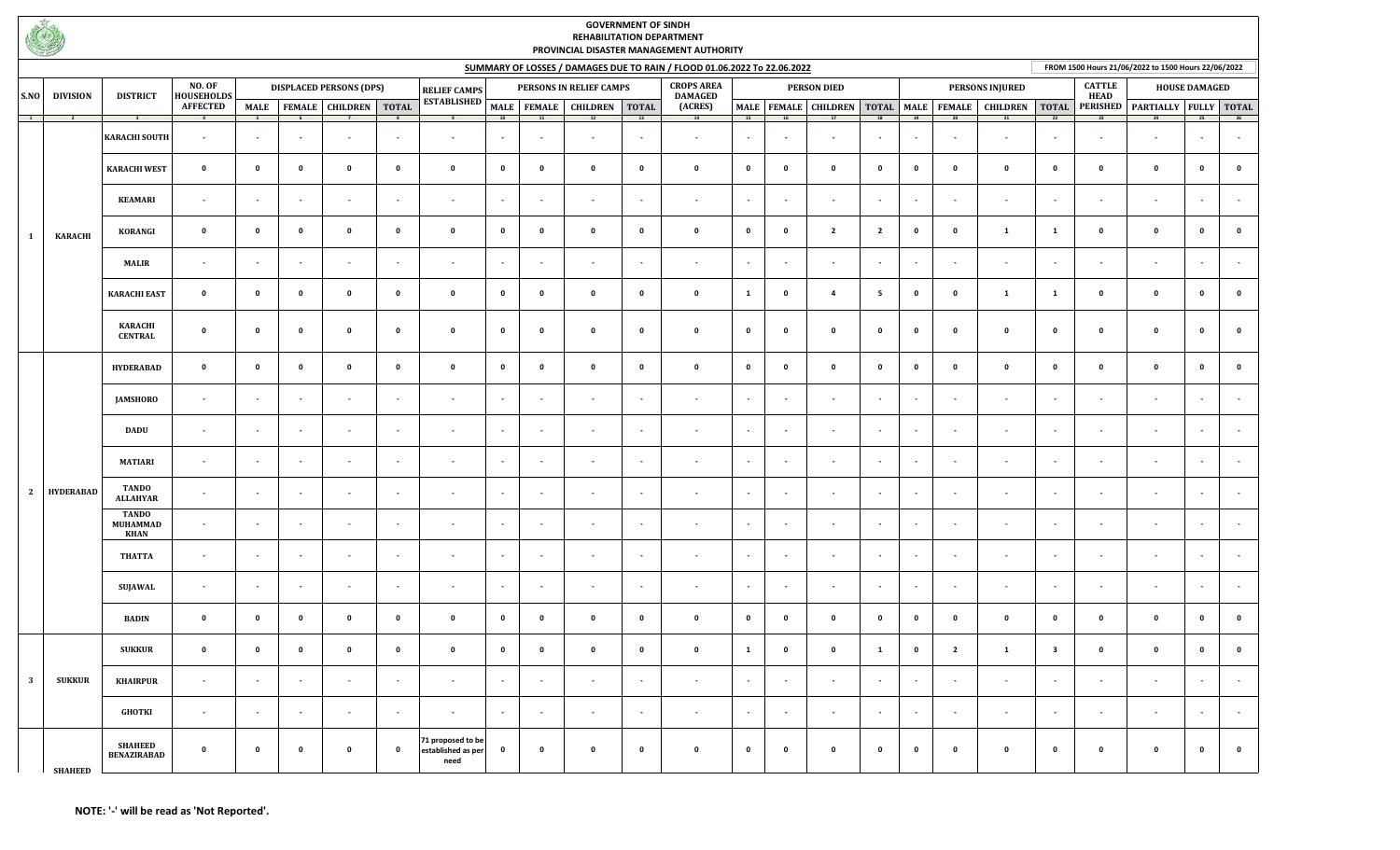

## **GOVERNMENT OF SINDH REHABILITATION DEPARTMENT PROVINCIAL DISASTER MANAGEMENT AUTHORITY**

**FROM 1500 Hours 21/06/2022 to 1500 Hours 22/06/2022**

|                                         |                  |                                                |                             | SUMMARY OF LOSSES / DAMAGES DUE TO RAIN / FLOOD 01.06.2022 To 22.06.2022 |                          |                                |                          |                                                 |                          |                          |                            |                          |                                     |                |                |                                |                          | FROM 1500 Hours 21/06/2022 to 1500 Hours 22/06/2022 |                         |                          |                              |                       |                       |             |             |
|-----------------------------------------|------------------|------------------------------------------------|-----------------------------|--------------------------------------------------------------------------|--------------------------|--------------------------------|--------------------------|-------------------------------------------------|--------------------------|--------------------------|----------------------------|--------------------------|-------------------------------------|----------------|----------------|--------------------------------|--------------------------|-----------------------------------------------------|-------------------------|--------------------------|------------------------------|-----------------------|-----------------------|-------------|-------------|
| S.NO                                    | <b>DIVISION</b>  | <b>DISTRICT</b>                                | NO. OF<br><b>HOUSEHOLDS</b> |                                                                          |                          | <b>DISPLACED PERSONS (DPS)</b> |                          | <b>RELIEF CAMPS</b>                             |                          |                          | PERSONS IN RELIEF CAMPS    |                          | <b>CROPS AREA</b><br><b>DAMAGED</b> |                |                | <b>PERSON DIED</b>             |                          |                                                     |                         | <b>PERSONS INJURED</b>   | <b>CATTLE</b><br><b>HEAD</b> |                       | <b>HOUSE DAMAGED</b>  |             |             |
|                                         | $\overline{2}$   | $\overline{\mathbf{3}}$                        | <b>AFFECTED</b>             | <b>MALE</b><br>$\overline{\phantom{0}}$                                  |                          | FEMALE CHILDREN TOTAL          | $\overline{\mathbf{8}}$  | <b>ESTABLISHED</b>                              | 10                       | 11                       | MALE FEMALE CHILDREN<br>12 | <b>TOTAL</b><br>13       | (ACRES)<br>14                       | $-15$          | 16             | MALE   FEMALE   CHILDREN<br>17 | 18                       | 19                                                  | TOTAL MALE FEMALE<br>20 | <b>CHILDREN</b>          | <b>TOTAL</b><br>22           | <b>PERISHED</b><br>23 | PARTIALLY FULLY TOTAL | 25          | 26          |
| $\overline{\mathbf{1}}$<br>$\mathbf{1}$ |                  | <b>KARACHI SOUTH</b>                           | $\sim$                      | $\overline{\phantom{a}}$                                                 | $\sim$                   | $\blacksquare$                 | $\overline{a}$           | $\mathbf{r}$                                    | $\blacksquare$           |                          | $\sim$                     | $\sim$                   | $\sim$                              | $\sim$         | $\sim$         | $\sim$                         | $\sim$                   | $\sim$                                              | $\sim$                  | $\overline{\phantom{a}}$ | $\sim$                       | $\sim$                | $\blacksquare$        | $\sim$      | $\sim$      |
|                                         |                  | <b>KARACHI WEST</b>                            | $\mathbf 0$                 | $\mathbf{0}$                                                             | $\mathbf 0$              | $\mathbf 0$                    | $\mathbf 0$              | $\mathbf 0$                                     | $\mathbf 0$              | $\mathbf 0$              | $\mathbf 0$                | $\mathbf 0$              | $\mathbf 0$                         | $\mathbf 0$    | $\mathbf 0$    | $\mathbf 0$                    | $\mathbf 0$              | $\mathbf 0$                                         | $\mathbf 0$             | $\mathbf 0$              | $\mathbf 0$                  | $\mathbf 0$           | $\mathbf 0$           | $\mathbf 0$ | $\mathbf 0$ |
|                                         |                  | <b>KEAMARI</b>                                 | $\sim$                      | $\overline{\phantom{a}}$                                                 | $\sim$                   | $\sim$                         | $\sim$                   | $\sim$                                          | $\sim$                   | $\sim$                   | $\sim$                     | $\sim$                   | $\sim$                              | $\sim$         | $\sim$         | $\sim$                         | $\sim$                   | $\sim$                                              | $\sim$                  | $\sim$                   | $\sim$                       | $\sim$                | $\sim$                | $\sim$      | $\sim$      |
|                                         | <b>KARACHI</b>   | KORANGI                                        | $\mathbf 0$                 | $\mathbf 0$                                                              | $\mathbf 0$              | $\mathbf 0$                    | $\mathbf 0$              | $\mathbf 0$                                     | $\mathbf 0$              | $\mathbf 0$              | $\mathbf 0$                | $\mathbf 0$              | $\mathbf 0$                         | $\mathbf 0$    | $\mathbf 0$    | $\overline{2}$                 | $\overline{2}$           | $\mathbf 0$                                         | $\mathbf 0$             | $\mathbf{1}$             | $\mathbf{1}$                 | $\mathbf 0$           | $\pmb{0}$             | $\pmb{0}$   | $\mathbf 0$ |
|                                         |                  | <b>MALIR</b>                                   | $\sim$                      | $\blacksquare$                                                           |                          | $\sim$                         |                          | $\blacksquare$                                  | $\blacksquare$           |                          |                            | $\overline{\phantom{a}}$ | $\sim$                              | $\sim$         | $\blacksquare$ | $\sim$                         |                          | $\sim$                                              |                         | $\blacksquare$           | $\sim$                       |                       | $\blacksquare$        | $\sim$      | $\sim$      |
|                                         |                  | <b>KARACHI EAST</b>                            | $\mathbf{0}$                | $\mathbf 0$                                                              | $\mathbf 0$              | $\mathbf 0$                    | $\mathbf 0$              | $\mathbf 0$                                     | $\mathbf 0$              | $\mathbf 0$              | $\mathbf 0$                | $\mathbf 0$              | $\mathbf 0$                         | $\mathbf{1}$   | $\mathbf 0$    | $\overline{a}$                 | 5                        | $\mathbf 0$                                         | $\mathbf 0$             | $\mathbf{1}$             | $\mathbf{1}$                 | $\mathbf 0$           | $\mathbf 0$           | $\mathbf 0$ | $\mathbf 0$ |
|                                         |                  | <b>KARACHI</b><br><b>CENTRAL</b>               | $\mathbf 0$                 | $\mathbf{0}$                                                             | $\mathbf 0$              | $\mathbf 0$                    | $\mathbf 0$              | $\mathbf 0$                                     | $\mathbf 0$              | $\mathbf 0$              | $\mathbf 0$                | $\mathbf 0$              | $\mathbf{0}$                        | $\mathbf 0$    | $\mathbf{0}$   | $\mathbf 0$                    | $\mathbf 0$              | $\mathbf 0$                                         | $\mathbf 0$             | $\mathbf 0$              | $\mathbf 0$                  | $\mathbf 0$           | $\mathbf 0$           | $\mathbf 0$ | $\mathbf 0$ |
| 2                                       | <b>HYDERABAD</b> | <b>HYDERABAD</b>                               | $\mathbf{0}$                | $\mathbf 0$                                                              | $\mathbf 0$              | $\mathbf 0$                    | $\mathbf 0$              | $\mathbf 0$                                     | $\mathbf 0$              | $\mathbf 0$              | $\mathbf 0$                | $\mathbf 0$              | $\mathbf 0$                         | $\mathbf 0$    | $\mathbf 0$    | $\mathbf 0$                    | $\mathbf 0$              | $\mathbf 0$                                         | $\mathbf 0$             | $\mathbf 0$              | $\mathbf 0$                  | $\mathbf 0$           | $\mathbf 0$           | $\mathbf 0$ | $\mathbf 0$ |
|                                         |                  | <b>JAMSHORO</b>                                | $\sim$                      | $\mathbf{r}$                                                             | $\sim$                   | $\sim$                         | $\blacksquare$           | $\sim$                                          | $\sim$                   | $\blacksquare$           | $\sim$                     | $\sim$                   | $\sim$                              | $\sim$         | $\sim$         | $\sim$                         | $\overline{\phantom{a}}$ | $\sim$                                              | $\sim$                  | $\mathbf{r}$             | $\sim$                       | $\sim$                | $\blacksquare$        | $\sim$      | $\sim$      |
|                                         |                  | <b>DADU</b>                                    | $\sim$                      | $\overline{\phantom{a}}$                                                 | $\sim$                   | $\sim$                         | $\blacksquare$           | $\blacksquare$                                  | $\blacksquare$           | $\sim$                   | $\sim$                     | $\overline{\phantom{a}}$ | $\sim$                              | $\sim$         | $\sim$         | $\sim$                         | $\sim$                   | $\sim$                                              | $\sim$                  | $\blacksquare$           | $\sim$                       | $\sim$                | $\sim$                | $\sim$      | $\sim$      |
|                                         |                  | <b>MATIARI</b>                                 | $\sim$                      | $\overline{\phantom{a}}$                                                 | $\sim$                   | $\sim$                         | ٠                        | $\sim$                                          | $\overline{\phantom{a}}$ |                          | $\sim$                     | $\overline{\phantom{a}}$ | $\sim$                              | $\sim$         | $\sim$         | $\sim$                         | $\overline{\phantom{a}}$ | $\overline{\phantom{a}}$                            | $\sim$                  | $\sim$                   | $\sim$                       | $\sim$                | $\sim$                | $\sim$      | $\sim$      |
|                                         |                  | <b>TANDO</b><br><b>ALLAHYAR</b>                | $\sim$                      | $\overline{\phantom{a}}$                                                 | $\sim$                   | $\sim$                         | $\sim$                   | $\sim$                                          | $\overline{\phantom{a}}$ | $\sim$                   | $\sim$                     | $\sim$                   | $\sim$                              | $\sim$         | $\sim$         | $\sim$                         | $\sim$                   | $\sim$                                              | $\sim$                  | $\sim$                   | $\sim$                       | $\sim$                | $\sim$                | $\sim$      | $\sim$      |
|                                         |                  | <b>TANDO</b><br><b>MUHAMMAD</b><br><b>KHAN</b> | $\sim$                      | $\sim$                                                                   | $\sim$                   | $\sim$                         | $\overline{\phantom{a}}$ | $\overline{\phantom{a}}$                        | $\overline{\phantom{a}}$ | $\sim$                   | $\sim$                     | $\sim$                   | $\sim$                              | $\sim$         | $\sim$         | $\sim$                         | $\sim$                   | $\sim$                                              | $\sim$                  | $\blacksquare$           | $\sim$                       | $\sim$                | $\blacksquare$        | $\sim$      | $\sim$      |
|                                         |                  | <b>THATTA</b>                                  | $\sim$                      | $\blacksquare$                                                           | $\sim$                   | $\sim$                         | $\sim$                   | $\overline{\phantom{a}}$                        | $\overline{\phantom{a}}$ | $\sim$                   | $\sim$                     | $\sim$                   | $\sim$                              | $\blacksquare$ | $\sim$         | $\sim$                         | $\sim$                   | $\cdot$                                             | $\sim$                  | $\overline{\phantom{a}}$ | $\sim$                       | $\sim$                | $\sim$                | $\sim$      | $\sim$      |
|                                         |                  | SUJAWAL                                        | $\sim$                      | $\overline{\phantom{a}}$                                                 | $\sim$                   | $\sim$                         |                          | $\overline{\phantom{a}}$                        | $\blacksquare$           |                          | $\sim$                     | $\sim$                   | $\sim$                              | $\cdot$        | $\sim$         | $\sim$                         |                          | $\sim$                                              | $\sim$                  | $\blacksquare$           | $\sim$                       | $\sim$                | $\blacksquare$        | $\sim$      | $\sim$      |
|                                         |                  | <b>BADIN</b>                                   | $\mathbf 0$                 | $\mathbf{o}$                                                             | $\mathbf 0$              | $\mathbf 0$                    | $\mathbf 0$              | $\mathbf 0$                                     | $\mathbf 0$              | $\mathbf 0$              | $\mathbf 0$                | $\mathbf 0$              | $\mathbf 0$                         | $\mathbf 0$    | $\mathbf 0$    | $\mathbf 0$                    | $\mathbf 0$              | $\mathbf 0$                                         | $\mathbf 0$             | $\mathbf 0$              | $\mathbf 0$                  | $\mathbf 0$           | $\mathbf 0$           | $\mathbf 0$ | $\mathbf 0$ |
|                                         |                  | <b>SUKKUR</b>                                  | $\mathbf 0$                 | $\mathbf{0}$                                                             | $\mathbf 0$              | $\mathbf 0$                    | $\mathbf 0$              | $\mathbf 0$                                     | $\mathbf 0$              | $\mathbf 0$              | $\mathbf 0$                | $\mathbf 0$              | $\mathbf 0$                         | $\mathbf{1}$   | $\mathbf 0$    | $\mathbf 0$                    | $\mathbf{1}$             | $\mathbf 0$                                         | $\overline{2}$          | $\mathbf{1}$             | $\overline{\mathbf{3}}$      | $\mathbf 0$           | $\mathbf 0$           | $\mathbf 0$ | $\mathbf 0$ |
| $\overline{\mathbf{3}}$                 | <b>SUKKUR</b>    | <b>KHAIRPUR</b>                                | $\sim$                      | $\overline{\phantom{a}}$                                                 | $\overline{\phantom{a}}$ | $\sim$                         |                          | $\overline{\phantom{a}}$                        | $\sim$                   |                          | $\overline{\phantom{a}}$   | $\overline{\phantom{a}}$ | $\sim$                              | $\sim$         | $\sim$         | $\sim$                         | $\sim$                   | $\sim$                                              | $\sim$                  | $\sim$                   | $\sim$                       |                       | $\blacksquare$        | $\sim$      | $\sim$      |
|                                         |                  | <b>GHOTKI</b>                                  | $\sim$                      | $\blacksquare$                                                           | $\sim$                   | $\sim$                         | $\sim$                   | $\blacksquare$                                  | $\mathbf{r}$             | $\overline{\phantom{a}}$ | $\overline{\phantom{a}}$   | $\overline{\phantom{a}}$ | $\sim$                              | $\sim$         | $\sim$         | $\sim$                         | $\sim$                   | $\overline{\phantom{a}}$                            | $\sim$                  | $\blacksquare$           | $\sim$                       | $\sim$                | $\blacksquare$        | $\sim$      | $\sim$      |
|                                         | <b>SHAHEED</b>   | <b>SHAHEED</b><br><b>BENAZIRABAD</b>           | $\mathbf 0$                 | $\mathbf{0}$                                                             | $\mathbf 0$              | $\mathbf 0$                    | $\mathbf 0$              | 71 proposed to be<br>established as per<br>need | $\mathbf 0$              | $\mathbf{0}$             | $\mathbf 0$                | $\mathbf 0$              | $\mathbf 0$                         | $\mathbf 0$    | $\mathbf 0$    | $\mathbf 0$                    | $\mathbf 0$              | $\mathbf{0}$                                        | $\mathbf 0$             | $\mathbf 0$              | $\mathbf 0$                  | $\mathbf 0$           | $\mathbf 0$           | $\mathbf 0$ | $\mathbf 0$ |